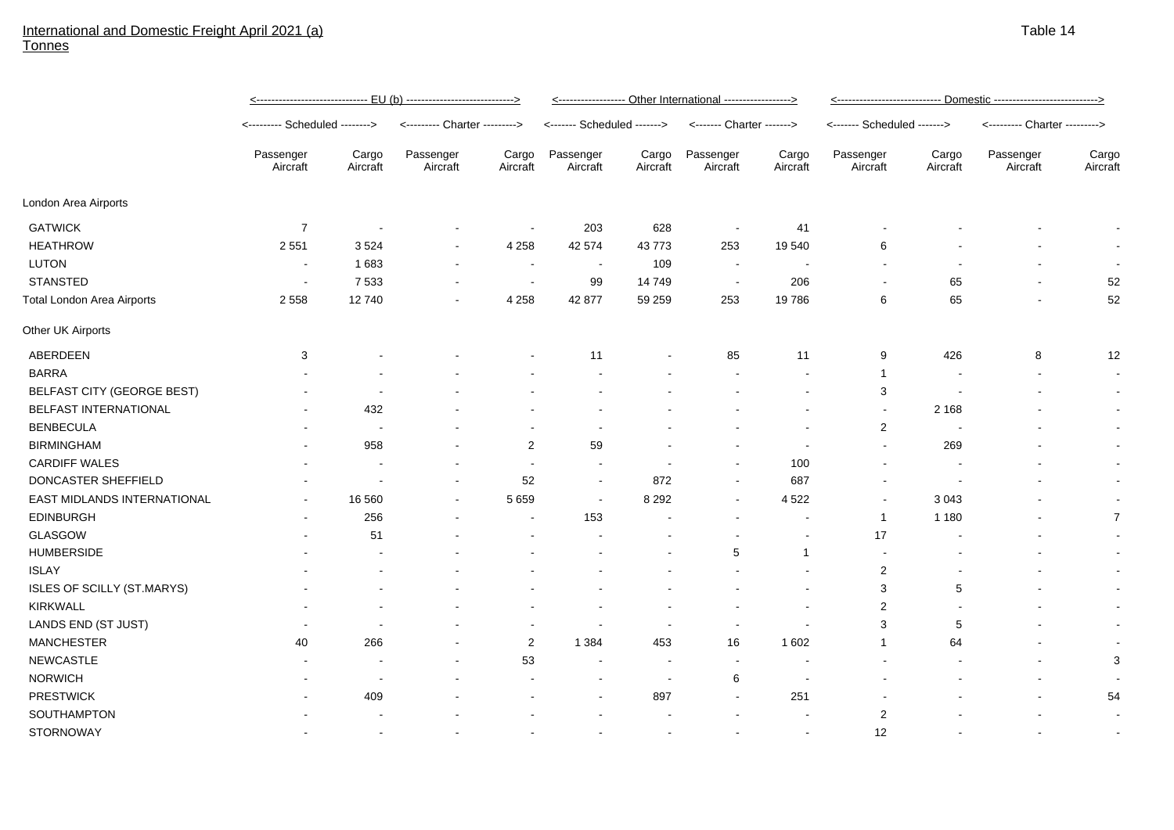## International and Domestic Freight April 2021 (a) Tonnes

|                                   | <u>&lt;------------------------------ EU (b) ----------------------------&gt;</u> |                   |                               |                          | <----------------- Other International -----------------> |                          |                           |                          | <u>&lt;---------------------------- Domestic --------------------------&gt;</u> |                   |                               |                   |
|-----------------------------------|-----------------------------------------------------------------------------------|-------------------|-------------------------------|--------------------------|-----------------------------------------------------------|--------------------------|---------------------------|--------------------------|---------------------------------------------------------------------------------|-------------------|-------------------------------|-------------------|
|                                   | <-------- Scheduled -------->                                                     |                   | <--------- Charter ---------> |                          | <------- Scheduled ------->                               |                          | <------- Charter -------> |                          | <------- Scheduled ------->                                                     |                   | <--------- Charter ---------> |                   |
|                                   | Passenger<br>Aircraft                                                             | Cargo<br>Aircraft | Passenger<br>Aircraft         | Cargo<br>Aircraft        | Passenger<br>Aircraft                                     | Cargo<br>Aircraft        | Passenger<br>Aircraft     | Cargo<br>Aircraft        | Passenger<br>Aircraft                                                           | Cargo<br>Aircraft | Passenger<br>Aircraft         | Cargo<br>Aircraft |
| London Area Airports              |                                                                                   |                   |                               |                          |                                                           |                          |                           |                          |                                                                                 |                   |                               |                   |
| <b>GATWICK</b>                    | $\overline{7}$                                                                    |                   |                               | $\overline{\phantom{a}}$ | 203                                                       | 628                      | $\blacksquare$            | 41                       |                                                                                 |                   |                               |                   |
| <b>HEATHROW</b>                   | 2 5 5 1                                                                           | 3524              |                               | 4 2 5 8                  | 42 574                                                    | 43773                    | 253                       | 19540                    | 6                                                                               |                   |                               | $\sim$            |
| <b>LUTON</b>                      | $\sim$                                                                            | 1683              | $\blacksquare$                | $\overline{\phantom{a}}$ | $\sim$                                                    | 109                      | $\sim$                    | $\blacksquare$           |                                                                                 |                   |                               |                   |
| <b>STANSTED</b>                   | $\sim$                                                                            | 7 5 3 3           | $\blacksquare$                | $\sim$                   | 99                                                        | 14749                    | $\sim$                    | 206                      |                                                                                 | 65                |                               | 52                |
| <b>Total London Area Airports</b> | 2 5 5 8                                                                           | 12740             |                               | 4 2 5 8                  | 42 877                                                    | 59 259                   | 253                       | 19786                    | 6                                                                               | 65                |                               | 52                |
| Other UK Airports                 |                                                                                   |                   |                               |                          |                                                           |                          |                           |                          |                                                                                 |                   |                               |                   |
| ABERDEEN                          | 3                                                                                 |                   |                               |                          | 11                                                        |                          | 85                        | 11                       | 9                                                                               | 426               | 8                             | 12                |
| <b>BARRA</b>                      |                                                                                   |                   |                               |                          |                                                           |                          |                           |                          | $\mathbf{1}$                                                                    |                   |                               | $\sim$            |
| BELFAST CITY (GEORGE BEST)        |                                                                                   |                   |                               |                          |                                                           |                          |                           |                          | 3                                                                               |                   |                               |                   |
| BELFAST INTERNATIONAL             |                                                                                   | 432               |                               |                          |                                                           |                          |                           |                          | $\blacksquare$                                                                  | 2 1 6 8           |                               | $\sim$            |
| <b>BENBECULA</b>                  |                                                                                   |                   |                               |                          |                                                           |                          |                           |                          | $\overline{2}$                                                                  |                   |                               |                   |
| <b>BIRMINGHAM</b>                 |                                                                                   | 958               |                               | $\overline{2}$           | 59                                                        |                          |                           |                          | $\blacksquare$                                                                  | 269               |                               |                   |
| <b>CARDIFF WALES</b>              |                                                                                   |                   |                               | $\overline{\phantom{a}}$ | $\overline{\phantom{a}}$                                  |                          |                           | 100                      |                                                                                 |                   |                               |                   |
| DONCASTER SHEFFIELD               |                                                                                   |                   |                               | 52                       | $\sim$                                                    | 872                      |                           | 687                      |                                                                                 |                   |                               |                   |
| EAST MIDLANDS INTERNATIONAL       |                                                                                   | 16 560            |                               | 5 6 5 9                  | $\overline{\phantom{a}}$                                  | 8 2 9 2                  |                           | 4 5 22                   |                                                                                 | 3 0 4 3           |                               |                   |
| <b>EDINBURGH</b>                  |                                                                                   | 256               |                               |                          | 153                                                       |                          |                           |                          | $\mathbf{1}$                                                                    | 1 1 8 0           |                               | $\overline{7}$    |
| GLASGOW                           |                                                                                   | 51                |                               |                          |                                                           |                          |                           |                          | 17                                                                              |                   |                               |                   |
| <b>HUMBERSIDE</b>                 |                                                                                   |                   |                               |                          |                                                           |                          | 5                         | $\mathbf{1}$             |                                                                                 |                   |                               |                   |
| <b>ISLAY</b>                      |                                                                                   |                   |                               |                          |                                                           |                          |                           |                          | $\overline{2}$                                                                  |                   |                               |                   |
| ISLES OF SCILLY (ST.MARYS)        |                                                                                   |                   |                               |                          |                                                           |                          |                           |                          | 3                                                                               | 5                 |                               |                   |
| <b>KIRKWALL</b>                   |                                                                                   |                   |                               |                          |                                                           |                          |                           |                          | $\overline{c}$                                                                  |                   |                               |                   |
| LANDS END (ST JUST)               |                                                                                   |                   |                               | $\overline{\phantom{a}}$ | $\blacksquare$                                            |                          | $\overline{\phantom{a}}$  |                          | 3                                                                               | 5                 |                               | $\sim$            |
| <b>MANCHESTER</b>                 | 40                                                                                | 266               |                               | 2                        | 1 3 8 4                                                   | 453                      | 16                        | 1 602                    | $\mathbf{1}$                                                                    | 64                |                               |                   |
| <b>NEWCASTLE</b>                  |                                                                                   |                   |                               | 53                       | $\overline{\phantom{a}}$                                  |                          | $\overline{\phantom{a}}$  |                          |                                                                                 |                   |                               | 3                 |
| <b>NORWICH</b>                    |                                                                                   |                   |                               |                          | $\overline{\phantom{a}}$                                  | $\overline{\phantom{a}}$ | 6                         | $\overline{\phantom{a}}$ |                                                                                 |                   |                               |                   |
| <b>PRESTWICK</b>                  |                                                                                   | 409               |                               |                          |                                                           | 897                      |                           | 251                      |                                                                                 |                   |                               | 54                |
| SOUTHAMPTON                       |                                                                                   |                   |                               |                          |                                                           |                          |                           |                          | $\overline{2}$                                                                  |                   |                               |                   |
| <b>STORNOWAY</b>                  |                                                                                   |                   |                               |                          |                                                           |                          |                           |                          | 12                                                                              |                   |                               |                   |